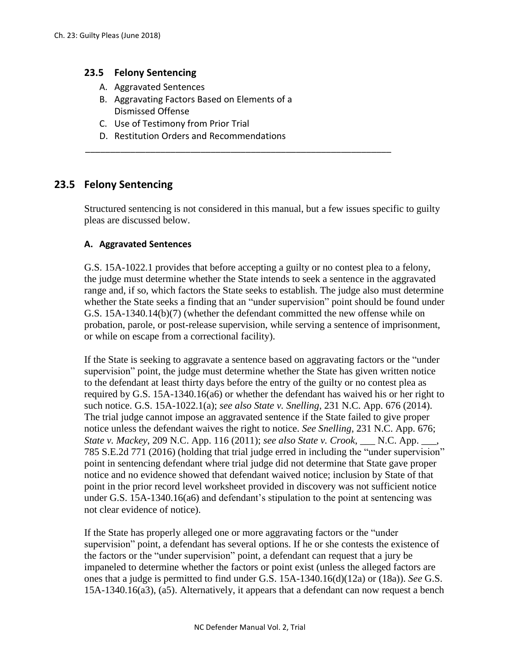## **23.5 Felony Sentencing**

- A. Aggravated Sentences
- B. Aggravating Factors Based on Elements of a Dismissed Offense
- C. Use of Testimony from Prior Trial
- D. Restitution Orders and Recommendations

# **23.5 Felony Sentencing**

Structured sentencing is not considered in this manual, but a few issues specific to guilty pleas are discussed below.

\_\_\_\_\_\_\_\_\_\_\_\_\_\_\_\_\_\_\_\_\_\_\_\_\_\_\_\_\_\_\_\_\_\_\_\_\_\_\_\_\_\_\_\_\_\_\_\_\_\_\_\_\_\_\_\_\_\_\_\_\_

## **A. Aggravated Sentences**

G.S. 15A-1022.1 provides that before accepting a guilty or no contest plea to a felony, the judge must determine whether the State intends to seek a sentence in the aggravated range and, if so, which factors the State seeks to establish. The judge also must determine whether the State seeks a finding that an "under supervision" point should be found under G.S. 15A-1340.14(b)(7) (whether the defendant committed the new offense while on probation, parole, or post-release supervision, while serving a sentence of imprisonment, or while on escape from a correctional facility).

If the State is seeking to aggravate a sentence based on aggravating factors or the "under supervision" point, the judge must determine whether the State has given written notice to the defendant at least thirty days before the entry of the guilty or no contest plea as required by G.S. 15A-1340.16(a6) or whether the defendant has waived his or her right to such notice. G.S. 15A-1022.1(a); *see also State v. Snelling*, 231 N.C. App. 676 (2014). The trial judge cannot impose an aggravated sentence if the State failed to give proper notice unless the defendant waives the right to notice. *See Snelling*, 231 N.C. App. 676; *State v. Mackey*, 209 N.C. App. 116 (2011); *see also State v. Crook*, \_\_\_ N.C. App. \_\_\_, 785 S.E.2d 771 (2016) (holding that trial judge erred in including the "under supervision" point in sentencing defendant where trial judge did not determine that State gave proper notice and no evidence showed that defendant waived notice; inclusion by State of that point in the prior record level worksheet provided in discovery was not sufficient notice under G.S. 15A-1340.16(a6) and defendant's stipulation to the point at sentencing was not clear evidence of notice).

If the State has properly alleged one or more aggravating factors or the "under supervision" point, a defendant has several options. If he or she contests the existence of the factors or the "under supervision" point, a defendant can request that a jury be impaneled to determine whether the factors or point exist (unless the alleged factors are ones that a judge is permitted to find under G.S. 15A-1340.16(d)(12a) or (18a)). *See* G.S. 15A-1340.16(a3), (a5). Alternatively, it appears that a defendant can now request a bench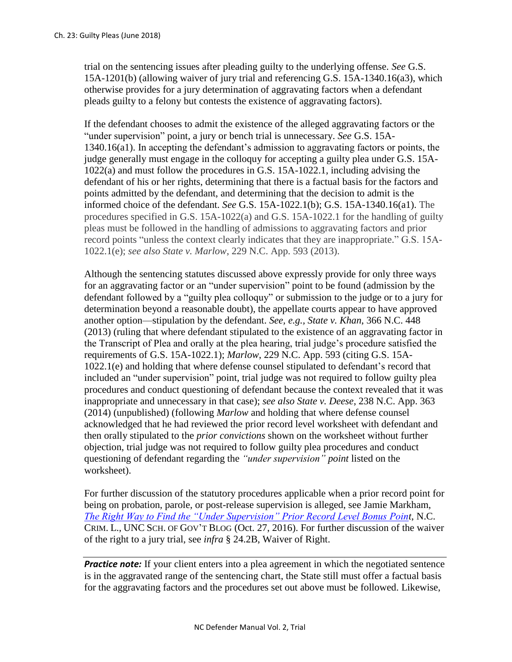trial on the sentencing issues after pleading guilty to the underlying offense. *See* G.S. 15A-1201(b) (allowing waiver of jury trial and referencing G.S. 15A-1340.16(a3), which otherwise provides for a jury determination of aggravating factors when a defendant pleads guilty to a felony but contests the existence of aggravating factors).

If the defendant chooses to admit the existence of the alleged aggravating factors or the "under supervision" point, a jury or bench trial is unnecessary. *See* G.S. 15A-1340.16(a1). In accepting the defendant's admission to aggravating factors or points, the judge generally must engage in the colloquy for accepting a guilty plea under G.S. 15A-1022(a) and must follow the procedures in G.S. 15A-1022.1, including advising the defendant of his or her rights, determining that there is a factual basis for the factors and points admitted by the defendant, and determining that the decision to admit is the informed choice of the defendant. *See* G.S. 15A-1022.1(b); G.S. 15A-1340.16(a1). The procedures specified in G.S. 15A-1022(a) and G.S. 15A-1022.1 for the handling of guilty pleas must be followed in the handling of admissions to aggravating factors and prior record points "unless the context clearly indicates that they are inappropriate." G.S. 15A-1022.1(e); *see also State v. Marlow*, 229 N.C. App. 593 (2013).

Although the sentencing statutes discussed above expressly provide for only three ways for an aggravating factor or an "under supervision" point to be found (admission by the defendant followed by a "guilty plea colloquy" or submission to the judge or to a jury for determination beyond a reasonable doubt), the appellate courts appear to have approved another option—stipulation by the defendant. *See, e.g., State v. Khan*, 366 N.C. 448 (2013) (ruling that where defendant stipulated to the existence of an aggravating factor in the Transcript of Plea and orally at the plea hearing, trial judge's procedure satisfied the requirements of G.S. 15A-1022.1); *Marlow*, 229 N.C. App. 593 (citing G.S. 15A-1022.1(e) and holding that where defense counsel stipulated to defendant's record that included an "under supervision" point, trial judge was not required to follow guilty plea procedures and conduct questioning of defendant because the context revealed that it was inappropriate and unnecessary in that case); *see also State v. Deese*, 238 N.C. App. 363 (2014) (unpublished) (following *Marlow* and holding that where defense counsel acknowledged that he had reviewed the prior record level worksheet with defendant and then orally stipulated to the *prior convictions* shown on the worksheet without further objection, trial judge was not required to follow guilty plea procedures and conduct questioning of defendant regarding the *"under supervision" point* listed on the worksheet).

For further discussion of the statutory procedures applicable when a prior record point for being on probation, parole, or post-release supervision is alleged, see Jamie Markham, *[The Right Way to Find the "Under Supervision" Prior Record Level Bonus Point](http://nccriminallaw.sog.unc.edu/right-way-find-supervision-prior-record-level-bonus-point/)*, N.C. CRIM. L., UNC SCH. OF GOV'T BLOG (Oct. 27, 2016). For further discussion of the waiver of the right to a jury trial, see *infra* § 24.2B, Waiver of Right.

**Practice note:** If your client enters into a plea agreement in which the negotiated sentence is in the aggravated range of the sentencing chart, the State still must offer a factual basis for the aggravating factors and the procedures set out above must be followed. Likewise,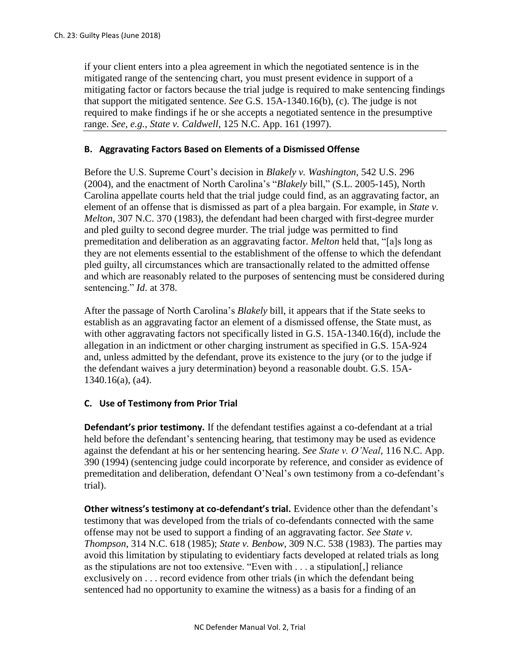if your client enters into a plea agreement in which the negotiated sentence is in the mitigated range of the sentencing chart, you must present evidence in support of a mitigating factor or factors because the trial judge is required to make sentencing findings that support the mitigated sentence. *See* G.S. 15A-1340.16(b), (c). The judge is not required to make findings if he or she accepts a negotiated sentence in the presumptive range. *See, e.g., State v. Caldwell*, 125 N.C. App. 161 (1997).

#### **B. Aggravating Factors Based on Elements of a Dismissed Offense**

Before the U.S. Supreme Court's decision in *Blakely v. Washington*, 542 U.S. 296 (2004), and the enactment of North Carolina's "*Blakely* bill," (S.L. 2005-145), North Carolina appellate courts held that the trial judge could find, as an aggravating factor, an element of an offense that is dismissed as part of a plea bargain. For example, in *State v. Melton*, 307 N.C. 370 (1983), the defendant had been charged with first-degree murder and pled guilty to second degree murder. The trial judge was permitted to find premeditation and deliberation as an aggravating factor. *Melton* held that, "[a]s long as they are not elements essential to the establishment of the offense to which the defendant pled guilty, all circumstances which are transactionally related to the admitted offense and which are reasonably related to the purposes of sentencing must be considered during sentencing." *Id*. at 378.

After the passage of North Carolina's *Blakely* bill, it appears that if the State seeks to establish as an aggravating factor an element of a dismissed offense, the State must, as with other aggravating factors not specifically listed in G.S. 15A-1340.16(d), include the allegation in an indictment or other charging instrument as specified in G.S. 15A-924 and, unless admitted by the defendant, prove its existence to the jury (or to the judge if the defendant waives a jury determination) beyond a reasonable doubt. G.S. 15A-1340.16(a), (a4).

# **C. Use of Testimony from Prior Trial**

**Defendant's prior testimony.** If the defendant testifies against a co-defendant at a trial held before the defendant's sentencing hearing, that testimony may be used as evidence against the defendant at his or her sentencing hearing. *See State v. O'Neal*, 116 N.C. App. 390 (1994) (sentencing judge could incorporate by reference, and consider as evidence of premeditation and deliberation, defendant O'Neal's own testimony from a co-defendant's trial).

**Other witness's testimony at co-defendant's trial.** Evidence other than the defendant's testimony that was developed from the trials of co-defendants connected with the same offense may not be used to support a finding of an aggravating factor. *See State v. Thompson*, 314 N.C. 618 (1985); *State v. Benbow*, 309 N.C. 538 (1983). The parties may avoid this limitation by stipulating to evidentiary facts developed at related trials as long as the stipulations are not too extensive. "Even with . . . a stipulation[,] reliance exclusively on . . . record evidence from other trials (in which the defendant being sentenced had no opportunity to examine the witness) as a basis for a finding of an